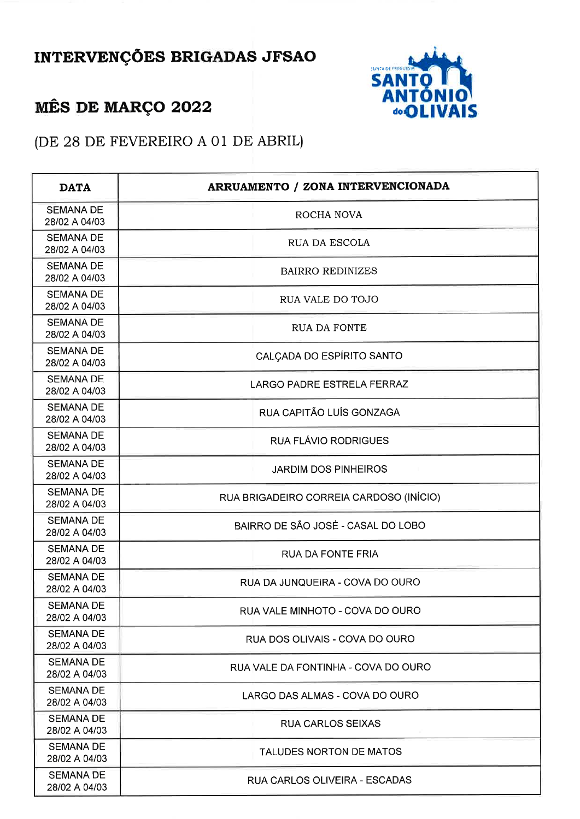## INTERVENÇÕES BRIGADAS JFSAO





(DE 28 DE FEVEREIRO A 01 DE ABRIL)

| <b>DATA</b>                       | ARRUAMENTO / ZONA INTERVENCIONADA       |
|-----------------------------------|-----------------------------------------|
| <b>SEMANA DE</b><br>28/02 A 04/03 | ROCHA NOVA                              |
| <b>SEMANA DE</b><br>28/02 A 04/03 | RUA DA ESCOLA                           |
| <b>SEMANA DE</b><br>28/02 A 04/03 | <b>BAIRRO REDINIZES</b>                 |
| <b>SEMANA DE</b><br>28/02 A 04/03 | RUA VALE DO TOJO                        |
| <b>SEMANA DE</b><br>28/02 A 04/03 | <b>RUA DA FONTE</b>                     |
| <b>SEMANA DE</b><br>28/02 A 04/03 | CALCADA DO ESPÍRITO SANTO               |
| <b>SEMANA DE</b><br>28/02 A 04/03 | LARGO PADRE ESTRELA FERRAZ              |
| <b>SEMANA DE</b><br>28/02 A 04/03 | RUA CAPITÃO LUÍS GONZAGA                |
| <b>SEMANA DE</b><br>28/02 A 04/03 | RUA FLÁVIO RODRIGUES                    |
| <b>SEMANA DE</b><br>28/02 A 04/03 | <b>JARDIM DOS PINHEIROS</b>             |
| <b>SEMANA DE</b><br>28/02 A 04/03 | RUA BRIGADEIRO CORREIA CARDOSO (INÍCIO) |
| <b>SEMANA DE</b><br>28/02 A 04/03 | BAIRRO DE SÃO JOSÉ - CASAL DO LOBO      |
| <b>SEMANA DE</b><br>28/02 A 04/03 | <b>RUA DA FONTE FRIA</b>                |
| <b>SEMANA DE</b><br>28/02 A 04/03 | RUA DA JUNQUEIRA - COVA DO OURO         |
| <b>SEMANA DE</b><br>28/02 A 04/03 | RUA VALE MINHOTO - COVA DO OURO         |
| <b>SEMANA DE</b><br>28/02 A 04/03 | RUA DOS OLIVAIS - COVA DO OURO          |
| <b>SEMANA DE</b><br>28/02 A 04/03 | RUA VALE DA FONTINHA - COVA DO OURO     |
| <b>SEMANA DE</b><br>28/02 A 04/03 | LARGO DAS ALMAS - COVA DO OURO          |
| <b>SEMANA DE</b><br>28/02 A 04/03 | RUA CARLOS SEIXAS                       |
| <b>SEMANA DE</b><br>28/02 A 04/03 | TALUDES NORTON DE MATOS                 |
| <b>SEMANA DE</b><br>28/02 A 04/03 | RUA CARLOS OLIVEIRA - ESCADAS           |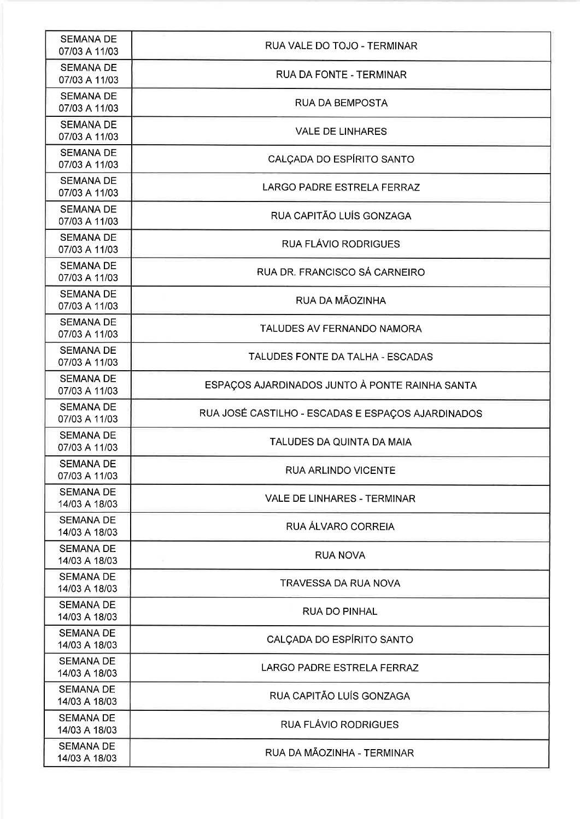| <b>SEMANA DE</b><br>07/03 A 11/03 | RUA VALE DO TOJO - TERMINAR                       |
|-----------------------------------|---------------------------------------------------|
| <b>SEMANA DE</b><br>07/03 A 11/03 | RUA DA FONTE - TERMINAR                           |
| <b>SEMANA DE</b><br>07/03 A 11/03 | <b>RUA DA BEMPOSTA</b>                            |
| <b>SEMANA DE</b><br>07/03 A 11/03 | <b>VALE DE LINHARES</b>                           |
| <b>SEMANA DE</b><br>07/03 A 11/03 | CALÇADA DO ESPÍRITO SANTO                         |
| <b>SEMANA DE</b><br>07/03 A 11/03 | LARGO PADRE ESTRELA FERRAZ                        |
| <b>SEMANA DE</b><br>07/03 A 11/03 | RUA CAPITÃO LUÍS GONZAGA                          |
| <b>SEMANA DE</b><br>07/03 A 11/03 | <b>RUA FLÁVIO RODRIGUES</b>                       |
| <b>SEMANA DE</b><br>07/03 A 11/03 | RUA DR. FRANCISCO SÁ CARNEIRO                     |
| <b>SEMANA DE</b><br>07/03 A 11/03 | RUA DA MÃOZINHA                                   |
| <b>SEMANA DE</b><br>07/03 A 11/03 | TALUDES AV FERNANDO NAMORA                        |
| <b>SEMANA DE</b><br>07/03 A 11/03 | TALUDES FONTE DA TALHA - ESCADAS                  |
| <b>SEMANA DE</b><br>07/03 A 11/03 | ESPAÇOS AJARDINADOS JUNTO À PONTE RAINHA SANTA    |
| <b>SEMANA DE</b><br>07/03 A 11/03 | RUA JOSÉ CASTILHO - ESCADAS E ESPAÇOS AJARDINADOS |
| <b>SEMANA DE</b><br>07/03 A 11/03 | TALUDES DA QUINTA DA MAIA                         |
| <b>SEMANA DE</b><br>07/03 A 11/03 | RUA ARLINDO VICENTE                               |
| <b>SEMANA DE</b><br>14/03 A 18/03 | VALE DE LINHARES - TERMINAR                       |
| <b>SEMANA DE</b><br>14/03 A 18/03 | RUA ÁLVARO CORREIA                                |
| <b>SEMANA DE</b><br>14/03 A 18/03 | <b>RUA NOVA</b>                                   |
| <b>SEMANA DE</b><br>14/03 A 18/03 | TRAVESSA DA RUA NOVA                              |
| <b>SEMANA DE</b><br>14/03 A 18/03 | <b>RUA DO PINHAL</b>                              |
| <b>SEMANA DE</b><br>14/03 A 18/03 | CALÇADA DO ESPÍRITO SANTO                         |
| <b>SEMANA DE</b><br>14/03 A 18/03 | <b>LARGO PADRE ESTRELA FERRAZ</b>                 |
| <b>SEMANA DE</b><br>14/03 A 18/03 | RUA CAPITÃO LUÍS GONZAGA                          |
| <b>SEMANA DE</b><br>14/03 A 18/03 | RUA FLÁVIO RODRIGUES                              |
| <b>SEMANA DE</b><br>14/03 A 18/03 | RUA DA MÃOZINHA - TERMINAR                        |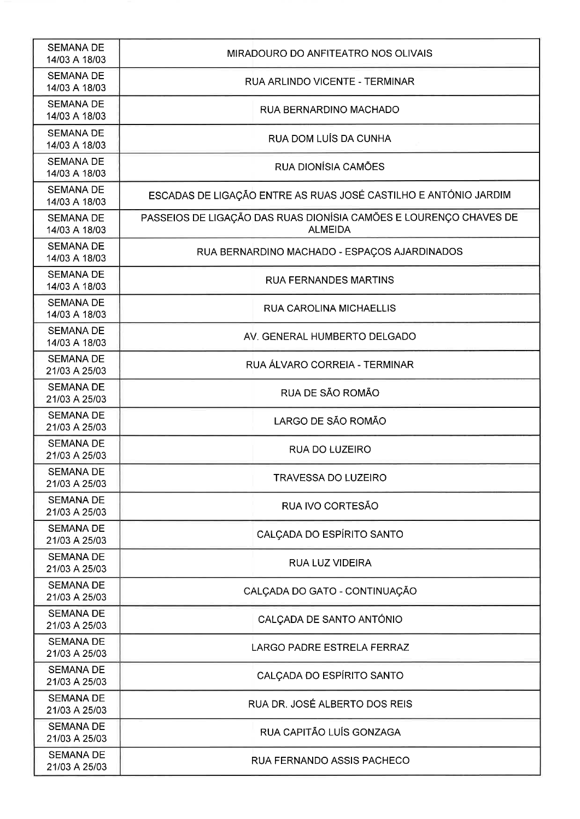| <b>SEMANA DE</b><br>14/03 A 18/03 | MIRADOURO DO ANFITEATRO NOS OLIVAIS                                                 |
|-----------------------------------|-------------------------------------------------------------------------------------|
| <b>SEMANA DE</b><br>14/03 A 18/03 | RUA ARLINDO VICENTE - TERMINAR                                                      |
| <b>SEMANA DE</b><br>14/03 A 18/03 | RUA BERNARDINO MACHADO                                                              |
| <b>SEMANA DE</b><br>14/03 A 18/03 | RUA DOM LUÍS DA CUNHA                                                               |
| <b>SEMANA DE</b><br>14/03 A 18/03 | RUA DIONÍSIA CAMÕES                                                                 |
| <b>SEMANA DE</b><br>14/03 A 18/03 | ESCADAS DE LIGAÇÃO ENTRE AS RUAS JOSÉ CASTILHO E ANTÓNIO JARDIM                     |
| <b>SEMANA DE</b><br>14/03 A 18/03 | PASSEIOS DE LIGAÇÃO DAS RUAS DIONÍSIA CAMÕES E LOURENÇO CHAVES DE<br><b>ALMEIDA</b> |
| <b>SEMANA DE</b><br>14/03 A 18/03 | RUA BERNARDINO MACHADO - ESPAÇOS AJARDINADOS                                        |
| <b>SEMANA DE</b><br>14/03 A 18/03 | <b>RUA FERNANDES MARTINS</b>                                                        |
| <b>SEMANA DE</b><br>14/03 A 18/03 | <b>RUA CAROLINA MICHAELLIS</b>                                                      |
| <b>SEMANA DE</b><br>14/03 A 18/03 | AV. GENERAL HUMBERTO DELGADO                                                        |
| <b>SEMANA DE</b><br>21/03 A 25/03 | RUA ÁLVARO CORREIA - TERMINAR                                                       |
| <b>SEMANA DE</b><br>21/03 A 25/03 | RUA DE SÃO ROMÃO                                                                    |
| <b>SEMANA DE</b><br>21/03 A 25/03 | LARGO DE SÃO ROMÃO                                                                  |
| <b>SEMANA DE</b><br>21/03 A 25/03 | <b>RUA DO LUZEIRO</b>                                                               |
| <b>SEMANA DE</b><br>21/03 A 25/03 | TRAVESSA DO LUZEIRO                                                                 |
| <b>SEMANA DE</b><br>21/03 A 25/03 | RUA IVO CORTESÃO                                                                    |
| <b>SEMANA DE</b><br>21/03 A 25/03 | CALÇADA DO ESPÍRITO SANTO                                                           |
| <b>SEMANA DE</b><br>21/03 A 25/03 | <b>RUA LUZ VIDEIRA</b>                                                              |
| <b>SEMANA DE</b><br>21/03 A 25/03 | CALÇADA DO GATO - CONTINUAÇÃO                                                       |
| <b>SEMANA DE</b><br>21/03 A 25/03 | CALÇADA DE SANTO ANTÓNIO                                                            |
| <b>SEMANA DE</b><br>21/03 A 25/03 | <b>LARGO PADRE ESTRELA FERRAZ</b>                                                   |
| <b>SEMANA DE</b><br>21/03 A 25/03 | CALÇADA DO ESPÍRITO SANTO                                                           |
| <b>SEMANA DE</b><br>21/03 A 25/03 | RUA DR. JOSÉ ALBERTO DOS REIS                                                       |
| <b>SEMANA DE</b><br>21/03 A 25/03 | RUA CAPITÃO LUÍS GONZAGA                                                            |
| <b>SEMANA DE</b><br>21/03 A 25/03 | RUA FERNANDO ASSIS PACHECO                                                          |